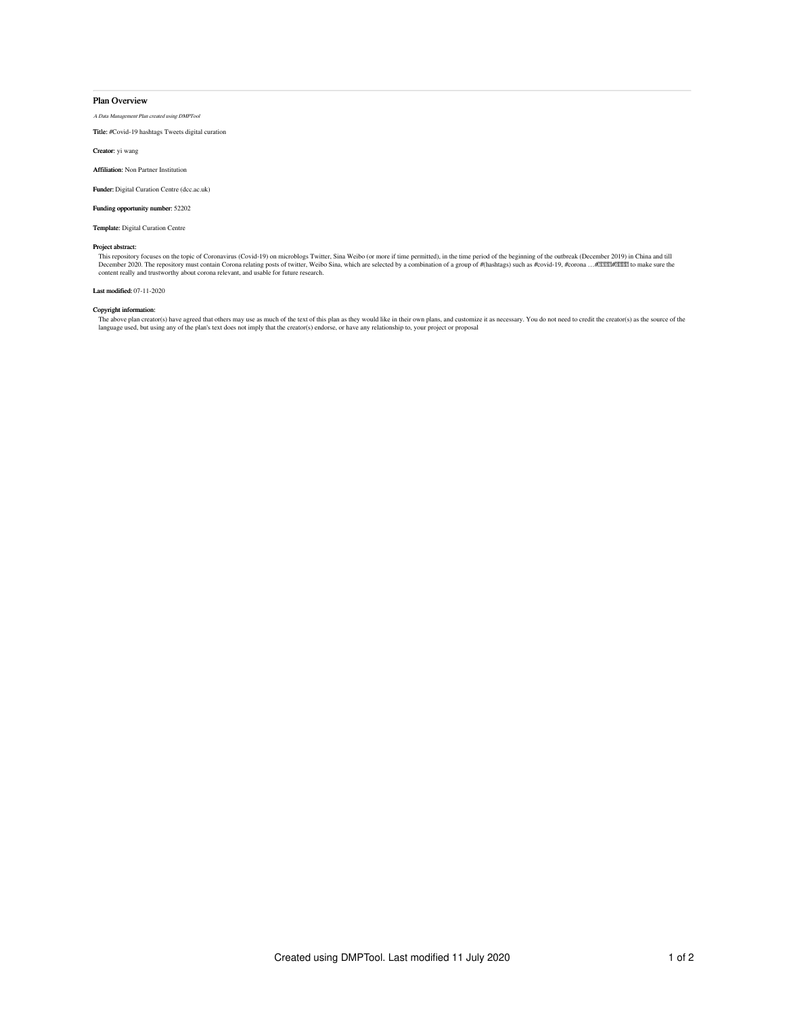## Plan Overview

A Data Management Plan created using DMPTool

Title: #Covid-19 hashtags Tweets digital curation

Creator: yi wang

Affiliation: Non Partner Institution

Funder: Digital Curation Centre (dcc.ac.uk)

Funding opportunity number: 52202

Template: Digital Curation Centre

## Project abstract:

This repository focuses on the topic of Coronavirus (Covid-19) on microblogs Twitter, Sina Weibo (or more if time permitted), in the time period of the beginning of the outbreak (December 2019) in China and till<br>December

## Last modified: 07-11-2020

# Copyright information:

The above plan creator(s) have agreed that others may use as much of the text of this plan as they would like in their own plans, and customize it as necessary. You do not need to credit the creator(s) as the source of the